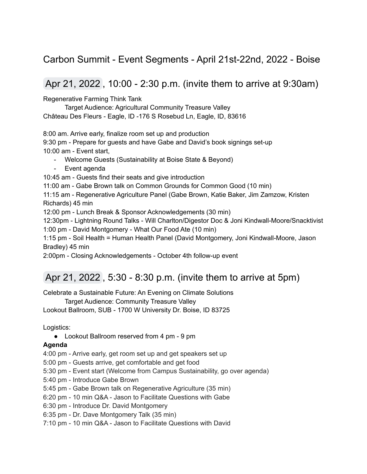### Carbon Summit - Event Segments - April 21st-22nd, 2022 - Boise

### Apr 21, 2022 , 10:00 - 2:30 p.m. (invite them to arrive at 9:30am)

Regenerative Farming Think Tank

Target Audience: Agricultural Community Treasure Valley Château Des Fleurs - Eagle, ID -176 S Rosebud Ln, Eagle, ID, 83616

8:00 am. Arrive early, finalize room set up and production

9:30 pm - Prepare for guests and have Gabe and David's book signings set-up 10:00 am - Event start,

- Welcome Guests (Sustainability at Boise State & Beyond)
- Event agenda

10:45 am - Guests find their seats and give introduction

11:00 am - Gabe Brown talk on Common Grounds for Common Good (10 min)

11:15 am - Regenerative Agriculture Panel (Gabe Brown, Katie Baker, Jim Zamzow, Kristen Richards) 45 min

12:00 pm - Lunch Break & Sponsor Acknowledgements (30 min)

12:30pm - Lightning Round Talks - Will Charlton/Digestor Doc & Joni Kindwall-Moore/Snacktivist 1:00 pm - David Montgomery - What Our Food Ate (10 min)

1:15 pm - Soil Health = Human Health Panel (David Montgomery, Joni Kindwall-Moore, Jason Bradley) 45 min

2:00pm - Closing Acknowledgements - October 4th follow-up event

# Apr 21, 2022 , 5:30 - 8:30 p.m. (invite them to arrive at 5pm)

Celebrate a Sustainable Future: An Evening on Climate Solutions

Target Audience: Community Treasure Valley

Lookout Ballroom, SUB - 1700 W University Dr. Boise, ID 83725

Logistics:

● Lookout Ballroom reserved from 4 pm - 9 pm

#### **Agenda**

- 4:00 pm Arrive early, get room set up and get speakers set up
- 5:00 pm Guests arrive, get comfortable and get food
- 5:30 pm Event start (Welcome from Campus Sustainability, go over agenda)
- 5:40 pm Introduce Gabe Brown
- 5:45 pm Gabe Brown talk on Regenerative Agriculture (35 min)
- 6:20 pm 10 min Q&A Jason to Facilitate Questions with Gabe
- 6:30 pm Introduce Dr. David Montgomery
- 6:35 pm Dr. Dave Montgomery Talk (35 min)
- 7:10 pm 10 min Q&A Jason to Facilitate Questions with David